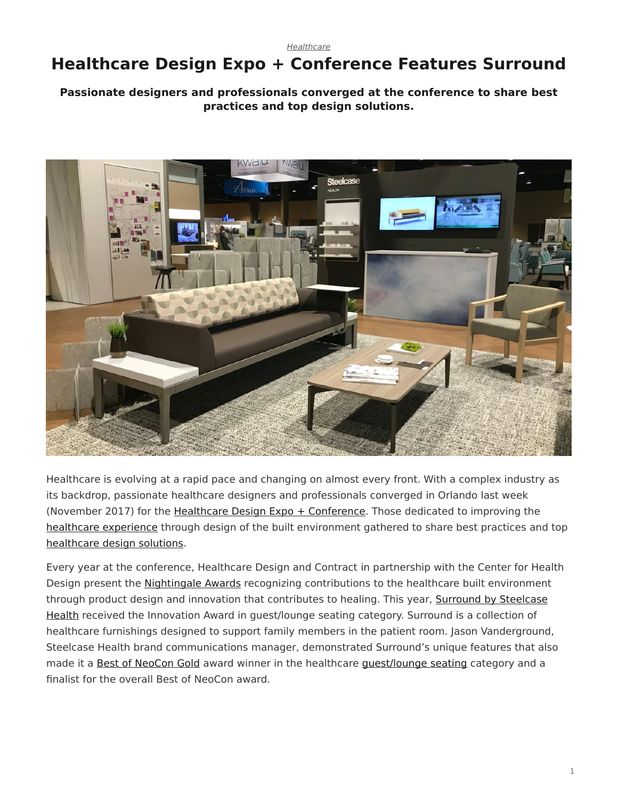*[Healthcare](https://www.steelcase.com/research/topics/healthcare/)*

# <span id="page-0-0"></span>**Healthcare Design Expo + Conference Features Surround**

### **Passionate designers and professionals converged at the conference to share best practices and top design solutions.**



Healthcare is evolving at a rapid pace and changing on almost every front. With a complex industry as its backdrop, passionate healthcare designers and professionals converged in Orlando last week (November 2017) for the [Healthcare Design Expo + Conference](https://www.hcdexpo.com/). Those dedicated to improving the [healthcare experience](https://www.steelcase.com/spaces-inspiration/health-spaces-exam/) through design of the built environment gathered to share best practices and top [healthcare design solutions.](https://www.steelcase.com/discover/information/health/)

Every year at the conference, Healthcare Design and Contract in partnership with the Center for Health Design present the [Nightingale Awards](https://www.healthcaredesignmagazine.com/news/awards-events/nightingale-award-winners-named-hcd-expo/) recognizing contributions to the healthcare built environment through product design and innovation that contributes to healing. This year, [Surround by Steelcase](https://www.steelcase.com/products/sofas/surround-sleeper/) [Health](https://www.steelcase.com/products/sofas/surround-sleeper/) received the Innovation Award in guest/lounge seating category. Surround is a collection of healthcare furnishings designed to support family members in the patient room. Jason Vanderground, Steelcase Health brand communications manager, demonstrated Surround's unique features that also made it a [Best of NeoCon Gold](https://www.steelcase.com/research/articles/topics/best-of-neocon/steelcase-receives-top-honors-neocon-2017/) award winner in the healthcare [guest/lounge seating](https://www.steelcase.com/products/side-guest-chairs/) category and a finalist for the overall Best of NeoCon award.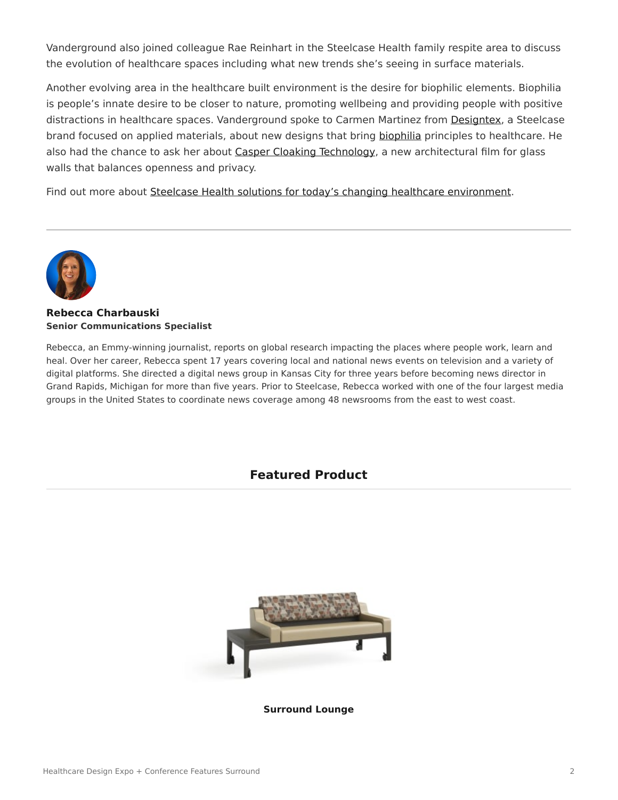Vanderground also joined colleague Rae Reinhart in the Steelcase Health family respite area to discuss the evolution of healthcare spaces including what new trends she's seeing in surface materials.

Another evolving area in the healthcare built environment is the desire for biophilic elements. Biophilia is people's innate desire to be closer to nature, promoting wellbeing and providing people with positive distractions in healthcare spaces. Vanderground spoke to Carmen Martinez from [Designtex,](http://www.designtex.com/) a Steelcase brand focused on applied materials, about new designs that bring [biophilia](https://www.steelcase.com/research/articles/topics/wellbeing/restoration-office/) principles to healthcare. He also had the chance to ask her about [Casper Cloaking Technology,](https://www.steelcase.com/research/articles/topics/innovation/casper-cloaking-technology-privacy-transparency/) a new architectural film for glass walls that balances openness and privacy.

Find out more about [Steelcase Health solutions for today's changing healthcare environment.](https://www.steelcase.com/discover/information/health/)



#### **[Rebecca Charbauski](https://www.steelcase.com/research/articles/author/rcharbausteelcase-com/) Senior Communications Specialist**

Rebecca, an Emmy-winning journalist, reports on global research impacting the places where people work, learn and heal. Over her career, Rebecca spent 17 years covering local and national news events on television and a variety of digital platforms. She directed a digital news group in Kansas City for three years before becoming news director in Grand Rapids, Michigan for more than five years. Prior to Steelcase, Rebecca worked with one of the four largest media groups in the United States to coordinate news coverage among 48 newsrooms from the east to west coast.

## **Featured Product**



**[Surround Lounge](https://www.steelcase.com/products/healthcare-seating/surround-lounge/)**